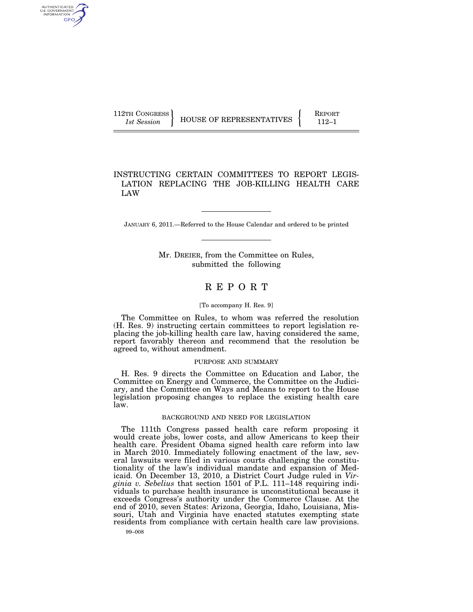AUTHENTICATED U.S. GOVERNMENT GPO

112TH CONGRESS **REPORT 112-1** HOUSE OF REPRESENTATIVES **REPORT** 

## INSTRUCTING CERTAIN COMMITTEES TO REPORT LEGIS-LATION REPLACING THE JOB-KILLING HEALTH CARE LAW

JANUARY 6, 2011.—Referred to the House Calendar and ordered to be printed

Mr. DREIER, from the Committee on Rules, submitted the following

# R E P O R T

#### [To accompany H. Res. 9]

The Committee on Rules, to whom was referred the resolution (H. Res. 9) instructing certain committees to report legislation replacing the job-killing health care law, having considered the same, report favorably thereon and recommend that the resolution be agreed to, without amendment.

## PURPOSE AND SUMMARY

H. Res. 9 directs the Committee on Education and Labor, the Committee on Energy and Commerce, the Committee on the Judiciary, and the Committee on Ways and Means to report to the House legislation proposing changes to replace the existing health care law.

#### BACKGROUND AND NEED FOR LEGISLATION

The 111th Congress passed health care reform proposing it would create jobs, lower costs, and allow Americans to keep their health care. President Obama signed health care reform into law in March 2010. Immediately following enactment of the law, several lawsuits were filed in various courts challenging the constitutionality of the law's individual mandate and expansion of Medicaid. On December 13, 2010, a District Court Judge ruled in *Virginia v. Sebelius* that section 1501 of P.L. 111–148 requiring individuals to purchase health insurance is unconstitutional because it exceeds Congress's authority under the Commerce Clause. At the end of 2010, seven States: Arizona, Georgia, Idaho, Louisiana, Missouri, Utah and Virginia have enacted statutes exempting state residents from compliance with certain health care law provisions.

99–008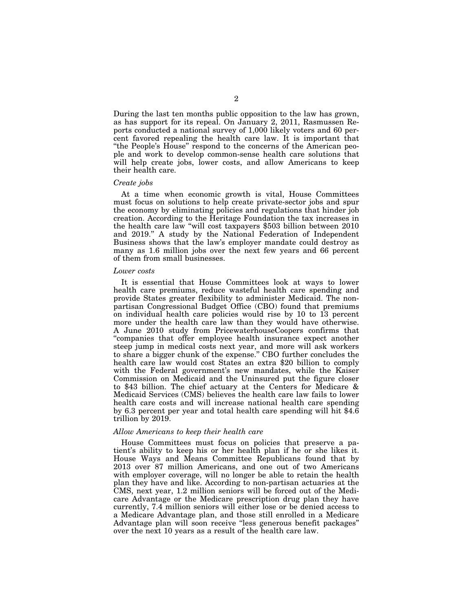During the last ten months public opposition to the law has grown, as has support for its repeal. On January 2, 2011, Rasmussen Reports conducted a national survey of 1,000 likely voters and 60 percent favored repealing the health care law. It is important that "the People's House" respond to the concerns of the American people and work to develop common-sense health care solutions that will help create jobs, lower costs, and allow Americans to keep their health care.

## *Create jobs*

At a time when economic growth is vital, House Committees must focus on solutions to help create private-sector jobs and spur the economy by eliminating policies and regulations that hinder job creation. According to the Heritage Foundation the tax increases in the health care law ''will cost taxpayers \$503 billion between 2010 and 2019.'' A study by the National Federation of Independent Business shows that the law's employer mandate could destroy as many as 1.6 million jobs over the next few years and 66 percent of them from small businesses.

#### *Lower costs*

It is essential that House Committees look at ways to lower health care premiums, reduce wasteful health care spending and provide States greater flexibility to administer Medicaid. The nonpartisan Congressional Budget Office (CBO) found that premiums on individual health care policies would rise by 10 to 13 percent more under the health care law than they would have otherwise. A June 2010 study from PricewaterhouseCoopers confirms that ''companies that offer employee health insurance expect another steep jump in medical costs next year, and more will ask workers to share a bigger chunk of the expense.'' CBO further concludes the health care law would cost States an extra \$20 billion to comply with the Federal government's new mandates, while the Kaiser Commission on Medicaid and the Uninsured put the figure closer to \$43 billion. The chief actuary at the Centers for Medicare & Medicaid Services (CMS) believes the health care law fails to lower health care costs and will increase national health care spending by 6.3 percent per year and total health care spending will hit \$4.6 trillion by 2019.

#### *Allow Americans to keep their health care*

House Committees must focus on policies that preserve a patient's ability to keep his or her health plan if he or she likes it. House Ways and Means Committee Republicans found that by 2013 over 87 million Americans, and one out of two Americans with employer coverage, will no longer be able to retain the health plan they have and like. According to non-partisan actuaries at the CMS, next year, 1.2 million seniors will be forced out of the Medicare Advantage or the Medicare prescription drug plan they have currently, 7.4 million seniors will either lose or be denied access to a Medicare Advantage plan, and those still enrolled in a Medicare Advantage plan will soon receive ''less generous benefit packages'' over the next 10 years as a result of the health care law.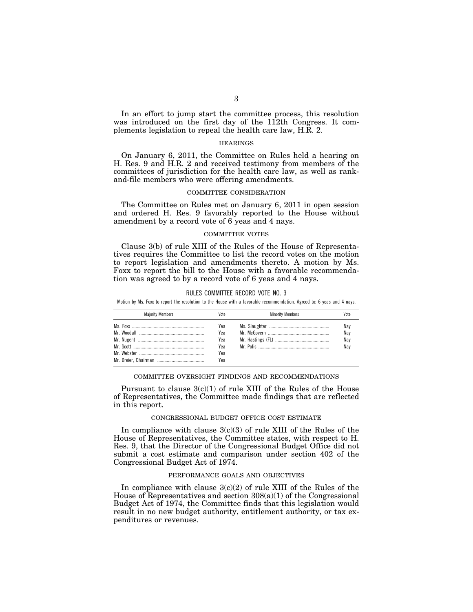In an effort to jump start the committee process, this resolution was introduced on the first day of the 112th Congress. It complements legislation to repeal the health care law, H.R. 2.

## HEARINGS

On January 6, 2011, the Committee on Rules held a hearing on H. Res. 9 and H.R. 2 and received testimony from members of the committees of jurisdiction for the health care law, as well as rankand-file members who were offering amendments.

## COMMITTEE CONSIDERATION

The Committee on Rules met on January 6, 2011 in open session and ordered H. Res. 9 favorably reported to the House without amendment by a record vote of 6 yeas and 4 nays.

## COMMITTEE VOTES

Clause 3(b) of rule XIII of the Rules of the House of Representatives requires the Committee to list the record votes on the motion to report legislation and amendments thereto. A motion by Ms. Foxx to report the bill to the House with a favorable recommendation was agreed to by a record vote of 6 yeas and 4 nays.

#### RULES COMMITTEE RECORD VOTE NO. 3

Motion by Ms. Foxx to report the resolution to the House with a favorable recommendation. Agreed to: 6 yeas and 4 nays.

| <b>Maiority Members</b> | Vote                                   | <b>Minority Members</b> | Vote                     |
|-------------------------|----------------------------------------|-------------------------|--------------------------|
|                         | Yea<br>Yea<br>Yea<br>Yea<br>Yea<br>Yea |                         | Nay<br>Nay<br>Nay<br>Nay |

#### COMMITTEE OVERSIGHT FINDINGS AND RECOMMENDATIONS

Pursuant to clause  $3(c)(1)$  of rule XIII of the Rules of the House of Representatives, the Committee made findings that are reflected in this report.

#### CONGRESSIONAL BUDGET OFFICE COST ESTIMATE

In compliance with clause  $3(c)(3)$  of rule XIII of the Rules of the House of Representatives, the Committee states, with respect to H. Res. 9, that the Director of the Congressional Budget Office did not submit a cost estimate and comparison under section 402 of the Congressional Budget Act of 1974.

## PERFORMANCE GOALS AND OBJECTIVES

In compliance with clause  $3(c)(2)$  of rule XIII of the Rules of the House of Representatives and section  $308(a)(1)$  of the Congressional Budget Act of 1974, the Committee finds that this legislation would result in no new budget authority, entitlement authority, or tax expenditures or revenues.